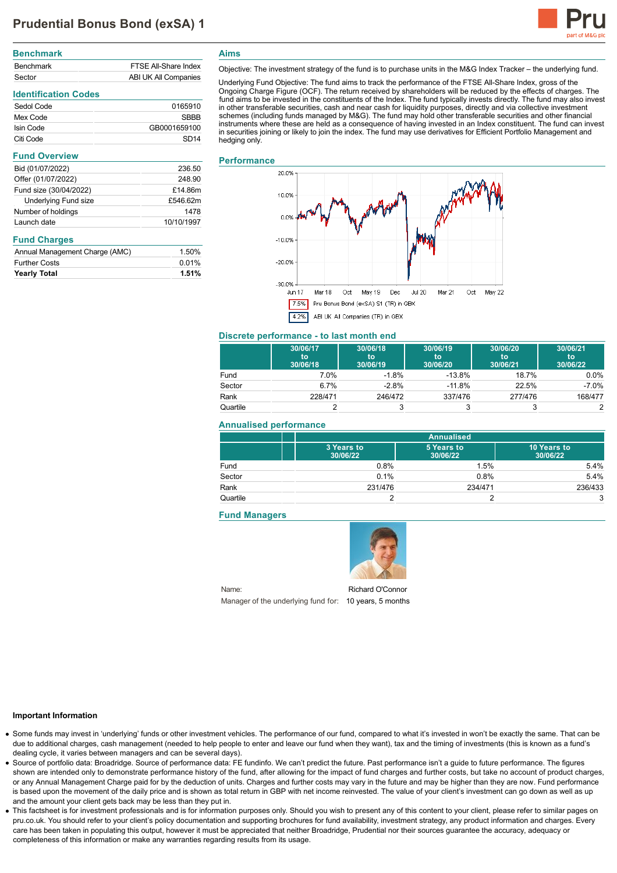

| <b>Benchmark</b> |                             |
|------------------|-----------------------------|
| <b>Benchmark</b> | <b>FTSF All-Share Index</b> |
| Sector           | ABI UK All Companies        |
|                  |                             |

# **Identification Codes**

| Sedol Code | 0165910      |
|------------|--------------|
| Mex Code   | SRRR         |
| Isin Code  | GB0001659100 |
| Citi Code  | SD14         |

| 236.50     |
|------------|
| 248.90     |
| £14.86m    |
| £546.62m   |
| 1478       |
| 10/10/1997 |
|            |

## **Fund Charges**

| Annual Management Charge (AMC) | 1.50% |
|--------------------------------|-------|
| <b>Further Costs</b>           | 0.01% |
| <b>Yearly Total</b>            | 1.51% |

**Aims**

Objective: The investment strategy of the fund is to purchase units in the M&G Index Tracker – the underlying fund.

Underlying Fund Objective: The fund aims to track the performance of the FTSE All-Share Index, gross of the Ongoing Charge Figure (OCF). The return received by shareholders will be reduced by the effects of charges. The<br>fund aims to be invested in the constituents of the Index. The fund typically invests directly. The fund may a in other transferable securities, cash and near cash for liquidity purposes, directly and via collective investment schemes (including funds managed by M&G). The fund may hold other transferable securities and other financial instruments where these are held as a consequence of having invested in an Index constituent. The fund can invest in securities joining or likely to join the index. The fund may use derivatives for Efficient Portfolio Management and hedging only.

## **Performance**



## **Discrete performance - to last month end**

|          | 30/06/17<br>to<br>30/06/18 | 30/06/18<br>to<br>30/06/19 | 30/06/19<br>to<br>30/06/20 | 30/06/20<br>to<br>30/06/21 | 30/06/21<br>to<br>30/06/22 |
|----------|----------------------------|----------------------------|----------------------------|----------------------------|----------------------------|
| Fund     | 7.0%                       | $-1.8%$                    | $-13.8%$                   | 18.7%                      | $0.0\%$                    |
| Sector   | 6.7%                       | $-2.8%$                    | $-11.8%$                   | 22.5%                      | $-7.0%$                    |
| Rank     | 228/471                    | 246/472                    | 337/476                    | 277/476                    | 168/477                    |
| Quartile |                            |                            |                            |                            |                            |

## **Annualised performance**

|          | <b>Annualised</b>      |                        |                         |
|----------|------------------------|------------------------|-------------------------|
|          | 3 Years to<br>30/06/22 | 5 Years to<br>30/06/22 | 10 Years to<br>30/06/22 |
| Fund     | 0.8%                   | 1.5%                   | 5.4%                    |
| Sector   | 0.1%                   | 0.8%                   | 5.4%                    |
| Rank     | 231/476                | 234/471                | 236/433                 |
| Quartile |                        |                        | 3                       |

## **Fund Managers**

Name:



Manager of the underlying fund for: 10 years, 5 months Richard O'Connor

#### **Important Information**

- Some funds may invest in 'underlying' funds or other investment vehicles. The performance of our fund, compared to what it's invested in won't be exactly the same. That can be due to additional charges, cash management (needed to help people to enter and leave our fund when they want), tax and the timing of investments (this is known as a fund's dealing cycle, it varies between managers and can be several days).
- Source of portfolio data: Broadridge. Source of performance data: FE fundinfo. We can't predict the future. Past performance isn't a guide to future performance. The figures shown are intended only to demonstrate performance history of the fund, after allowing for the impact of fund charges and further costs, but take no account of product charges, or any Annual Management Charge paid for by the deduction of units. Charges and further costs may vary in the future and may be higher than they are now. Fund performance is based upon the movement of the daily price and is shown as total return in GBP with net income reinvested. The value of your client's investment can go down as well as up and the amount your client gets back may be less than they put in.
- This factsheet is for investment professionals and is for information purposes only. Should you wish to present any of this content to your client, please refer to similar pages on pru.co.uk. You should refer to your client's policy documentation and supporting brochures for fund availability, investment strategy, any product information and charges. Every care has been taken in populating this output, however it must be appreciated that neither Broadridge. Prudential nor their sources guarantee the accuracy, adequacy or completeness of this information or make any warranties regarding results from its usage.